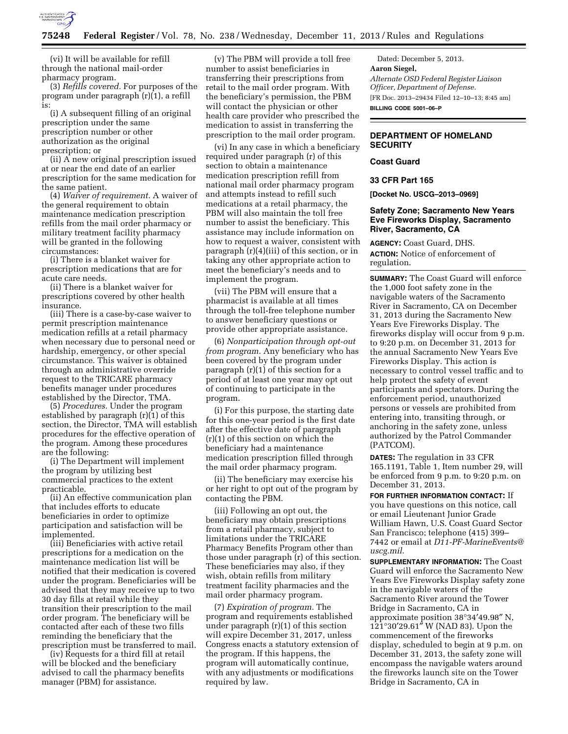

(vi) It will be available for refill through the national mail-order pharmacy program.

(3) *Refills covered.* For purposes of the program under paragraph (r)(1), a refill is:

(i) A subsequent filling of an original prescription under the same prescription number or other authorization as the original prescription; or

(ii) A new original prescription issued at or near the end date of an earlier prescription for the same medication for the same patient.

(4) *Waiver of requirement.* A waiver of the general requirement to obtain maintenance medication prescription refills from the mail order pharmacy or military treatment facility pharmacy will be granted in the following circumstances:

(i) There is a blanket waiver for prescription medications that are for acute care needs.

(ii) There is a blanket waiver for prescriptions covered by other health insurance.

(iii) There is a case-by-case waiver to permit prescription maintenance medication refills at a retail pharmacy when necessary due to personal need or hardship, emergency, or other special circumstance. This waiver is obtained through an administrative override request to the TRICARE pharmacy benefits manager under procedures established by the Director, TMA.

(5) *Procedures.* Under the program established by paragraph (r)(1) of this section, the Director, TMA will establish procedures for the effective operation of the program. Among these procedures are the following:

(i) The Department will implement the program by utilizing best commercial practices to the extent practicable.

(ii) An effective communication plan that includes efforts to educate beneficiaries in order to optimize participation and satisfaction will be implemented.

(iii) Beneficiaries with active retail prescriptions for a medication on the maintenance medication list will be notified that their medication is covered under the program. Beneficiaries will be advised that they may receive up to two 30 day fills at retail while they transition their prescription to the mail order program. The beneficiary will be contacted after each of these two fills reminding the beneficiary that the prescription must be transferred to mail.

(iv) Requests for a third fill at retail will be blocked and the beneficiary advised to call the pharmacy benefits manager (PBM) for assistance.

(v) The PBM will provide a toll free number to assist beneficiaries in transferring their prescriptions from retail to the mail order program. With the beneficiary's permission, the PBM will contact the physician or other health care provider who prescribed the medication to assist in transferring the prescription to the mail order program.

(vi) In any case in which a beneficiary required under paragraph (r) of this section to obtain a maintenance medication prescription refill from national mail order pharmacy program and attempts instead to refill such medications at a retail pharmacy, the PBM will also maintain the toll free number to assist the beneficiary. This assistance may include information on how to request a waiver, consistent with paragraph (r)(4)(iii) of this section, or in taking any other appropriate action to meet the beneficiary's needs and to implement the program.

(vii) The PBM will ensure that a pharmacist is available at all times through the toll-free telephone number to answer beneficiary questions or provide other appropriate assistance.

(6) *Nonparticipation through opt-out from program.* Any beneficiary who has been covered by the program under paragraph  $(r)(1)$  of this section for a period of at least one year may opt out of continuing to participate in the program.

(i) For this purpose, the starting date for this one-year period is the first date after the effective date of paragraph (r)(1) of this section on which the beneficiary had a maintenance medication prescription filled through the mail order pharmacy program.

(ii) The beneficiary may exercise his or her right to opt out of the program by contacting the PBM.

(iii) Following an opt out, the beneficiary may obtain prescriptions from a retail pharmacy, subject to limitations under the TRICARE Pharmacy Benefits Program other than those under paragraph (r) of this section. These beneficiaries may also, if they wish, obtain refills from military treatment facility pharmacies and the mail order pharmacy program.

(7) *Expiration of program.* The program and requirements established under paragraph (r)(1) of this section will expire December 31, 2017, unless Congress enacts a statutory extension of the program. If this happens, the program will automatically continue, with any adjustments or modifications required by law.

Dated: December 5, 2013. **Aaron Siegel,**  *Alternate OSD Federal Register Liaison Officer, Department of Defense.*  [FR Doc. 2013–29434 Filed 12–10–13; 8:45 am] **BILLING CODE 5001–06–P** 

# **DEPARTMENT OF HOMELAND SECURITY**

# **Coast Guard**

**33 CFR Part 165** 

**[Docket No. USCG–2013–0969]** 

# **Safety Zone; Sacramento New Years Eve Fireworks Display, Sacramento River, Sacramento, CA**

**AGENCY:** Coast Guard, DHS. **ACTION:** Notice of enforcement of regulation.

**SUMMARY:** The Coast Guard will enforce the 1,000 foot safety zone in the navigable waters of the Sacramento River in Sacramento, CA on December 31, 2013 during the Sacramento New Years Eve Fireworks Display. The fireworks display will occur from 9 p.m. to 9:20 p.m. on December 31, 2013 for the annual Sacramento New Years Eve Fireworks Display. This action is necessary to control vessel traffic and to help protect the safety of event participants and spectators. During the enforcement period, unauthorized persons or vessels are prohibited from entering into, transiting through, or anchoring in the safety zone, unless authorized by the Patrol Commander (PATCOM).

**DATES:** The regulation in 33 CFR 165.1191, Table 1, Item number 29, will be enforced from 9 p.m. to 9:20 p.m. on December 31, 2013.

**FOR FURTHER INFORMATION CONTACT:** If you have questions on this notice, call or email Lieutenant Junior Grade William Hawn, U.S. Coast Guard Sector San Francisco; telephone (415) 399– 7442 or email at *[D11-PF-MarineEvents@](mailto:D11-PF-MarineEvents@uscg.mil) [uscg.mil](mailto:D11-PF-MarineEvents@uscg.mil)*.

**SUPPLEMENTARY INFORMATION:** The Coast Guard will enforce the Sacramento New Years Eve Fireworks Display safety zone in the navigable waters of the Sacramento River around the Tower Bridge in Sacramento, CA in approximate position 38°34′49.98″ N, 121°30′29.61″ W (NAD 83). Upon the commencement of the fireworks display, scheduled to begin at 9 p.m. on December 31, 2013, the safety zone will encompass the navigable waters around the fireworks launch site on the Tower Bridge in Sacramento, CA in